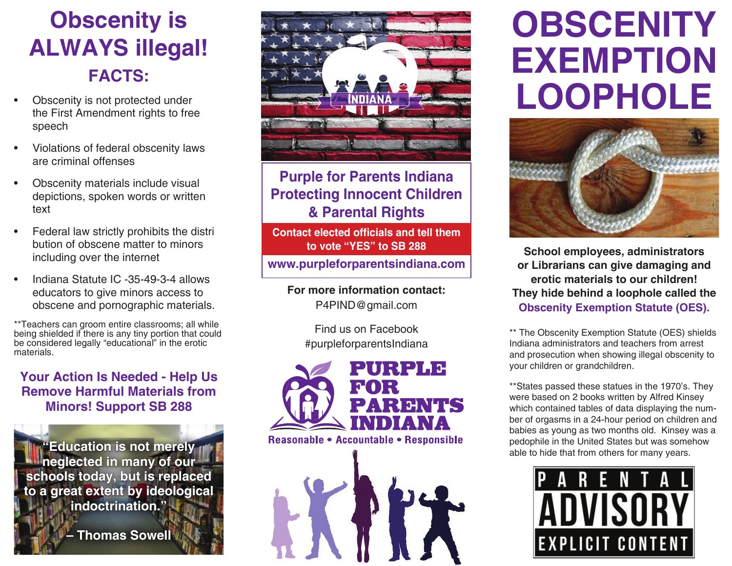# **Obscenity is ALWAYS illegal! FACTS:**

- Obscenity is not protected under the First Amendment rights to free speech
- Violations of federal obscenity laws are criminal offenses
- Obscenity materials include visual depictions, spoken words or written text
- Federal law strictly prohibits the distri bution of obscene matter to minors including over the internet
- Indiana Statute IC -35-49-3-4 allows educators to give minors access to obscene and pornographic materials.

\*\*Teachers can groom entire classrooms; all while being shielded if there is any tiny portion that could be considered legally "educational" in the erotic materials.

### **Your Action Is Needed - Help Us Remove Harmful Materials from Minors! Support SB 288**

**"Education is not merely**  $\mathbf{u}$ **neglected in many of our schools today, but is replaced to a great extent by ideological indoctrination."** 

**– Thomas Sowell**



**Purple for Parents Indiana Protecting Innocent Children & Parental Rights**

**Contact elected officials and tell them to vote "YES" to SB 288**

**www.purpleforparentsindiana.com**

**For more information contact:** P4PIND@gmail.com

> Find us on Facebook #purpleforparentsIndiana



# **OBSCENITY EXEMPTION LOOPHOLE**



**School employees, administrators or Librarians can give damaging and erotic materials to our children! They hide behind a loophole called the Obscenity Exemption Statute (OES).** 

\*\* The Obscenity Exemption Statute (OES) shields Indiana administrators and teachers from arrest and prosecution when showing illegal obscenity to your children or grandchildren.

\*\*States passed these statues in the 1970's. They were based on 2 books written by Alfred Kinsey which contained tables of data displaying the number of orgasms in a 24-hour period on children and babies as young as two months old. Kinsey was a pedophile in the United States but was somehow able to hide that from others for many years.